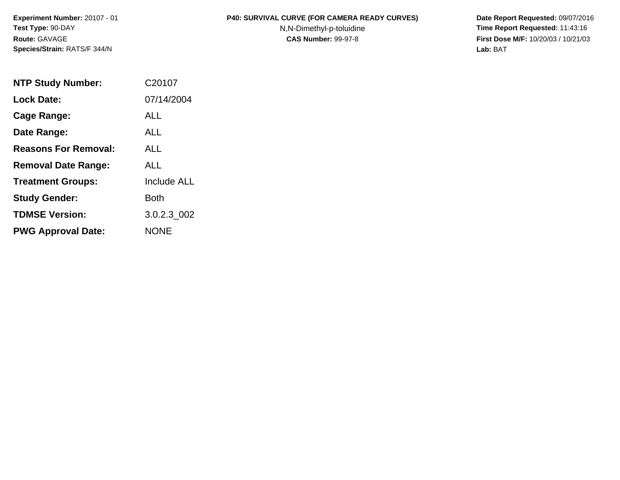**Experiment Number:** 20107 - 01 **Test Type:** 90-DAY **Route:** GAVAGE **Species/Strain:** RATS/F 344/N

## P40: SURVIVAL CURVE (FOR CAMERA READY CURVES) Date Report Requested: 09/07/2016

N,N-Dimethyl-p-toluidine **Time Report Requested:** 11:43:16 **CAS Number:** 99-97-8 **First Dose M/F:** 10/20/03 / 10/21/03 **Lab:** BAT

| <b>NTP Study Number:</b>    | C20107      |
|-----------------------------|-------------|
| <b>Lock Date:</b>           | 07/14/2004  |
| Cage Range:                 | ALL         |
| Date Range:                 | <b>ALL</b>  |
| <b>Reasons For Removal:</b> | ALL.        |
| <b>Removal Date Range:</b>  | ALL         |
| <b>Treatment Groups:</b>    | Include ALL |
| <b>Study Gender:</b>        | Both        |
| <b>TDMSE Version:</b>       | 3.0.2.3_002 |
| <b>PWG Approval Date:</b>   | NONE        |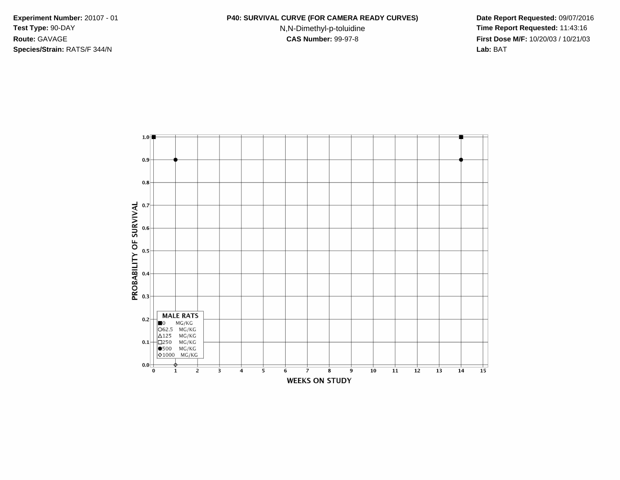**Species/Strain:** RATS/F 344/N **Lab:** BAT